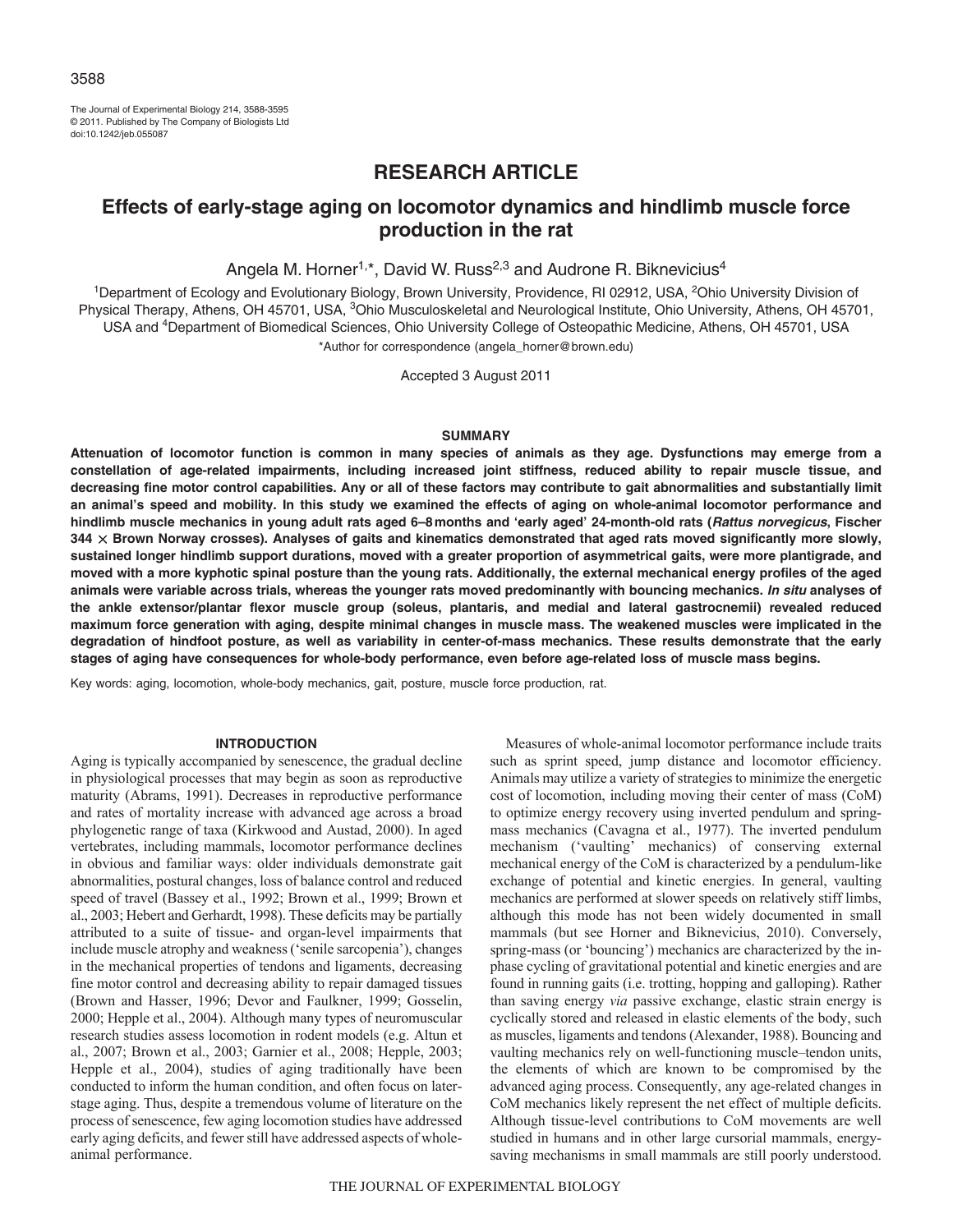The Journal of Experimental Biology 214, 3588-3595 © 2011. Published by The Company of Biologists Ltd doi:10.1242/jeb.055087

# **RESEARCH ARTICLE**

## **Effects of early-stage aging on locomotor dynamics and hindlimb muscle force production in the rat**

Angela M. Horner<sup>1,\*</sup>, David W. Russ<sup>2,3</sup> and Audrone R. Biknevicius<sup>4</sup>

<sup>1</sup>Department of Ecology and Evolutionary Biology, Brown University, Providence, RI 02912, USA, <sup>2</sup>Ohio University Division of Physical Therapy, Athens, OH 45701, USA, <sup>3</sup>Ohio Musculoskeletal and Neurological Institute, Ohio University, Athens, OH 45701, USA and 4Department of Biomedical Sciences, Ohio University College of Osteopathic Medicine, Athens, OH 45701, USA

\*Author for correspondence (angela\_horner@brown.edu)

Accepted 3 August 2011

## **SUMMARY**

**Attenuation of locomotor function is common in many species of animals as they age. Dysfunctions may emerge from a constellation of age-related impairments, including increased joint stiffness, reduced ability to repair muscle tissue, and decreasing fine motor control capabilities. Any or all of these factors may contribute to gait abnormalities and substantially limit an animal's speed and mobility. In this study we examined the effects of aging on whole-animal locomotor performance and hindlimb muscle mechanics in young adult rats aged 6–8months and 'early aged' 24-month-old rats (Rattus norvegicus, Fischer 344** - **Brown Norway crosses). Analyses of gaits and kinematics demonstrated that aged rats moved significantly more slowly, sustained longer hindlimb support durations, moved with a greater proportion of asymmetrical gaits, were more plantigrade, and moved with a more kyphotic spinal posture than the young rats. Additionally, the external mechanical energy profiles of the aged animals were variable across trials, whereas the younger rats moved predominantly with bouncing mechanics. In situ analyses of the ankle extensor/plantar flexor muscle group (soleus, plantaris, and medial and lateral gastrocnemii) revealed reduced maximum force generation with aging, despite minimal changes in muscle mass. The weakened muscles were implicated in the degradation of hindfoot posture, as well as variability in center-of-mass mechanics. These results demonstrate that the early stages of aging have consequences for whole-body performance, even before age-related loss of muscle mass begins.**

Key words: aging, locomotion, whole-body mechanics, gait, posture, muscle force production, rat.

## **INTRODUCTION**

Aging is typically accompanied by senescence, the gradual decline in physiological processes that may begin as soon as reproductive maturity (Abrams, 1991). Decreases in reproductive performance and rates of mortality increase with advanced age across a broad phylogenetic range of taxa (Kirkwood and Austad, 2000). In aged vertebrates, including mammals, locomotor performance declines in obvious and familiar ways: older individuals demonstrate gait abnormalities, postural changes, loss of balance control and reduced speed of travel (Bassey et al., 1992; Brown et al., 1999; Brown et al., 2003; Hebert and Gerhardt, 1998). These deficits may be partially attributed to a suite of tissue- and organ-level impairments that include muscle atrophy and weakness ('senile sarcopenia'), changes in the mechanical properties of tendons and ligaments, decreasing fine motor control and decreasing ability to repair damaged tissues (Brown and Hasser, 1996; Devor and Faulkner, 1999; Gosselin, 2000; Hepple et al., 2004). Although many types of neuromuscular research studies assess locomotion in rodent models (e.g. Altun et al., 2007; Brown et al., 2003; Garnier et al., 2008; Hepple, 2003; Hepple et al., 2004), studies of aging traditionally have been conducted to inform the human condition, and often focus on laterstage aging. Thus, despite a tremendous volume of literature on the process of senescence, few aging locomotion studies have addressed early aging deficits, and fewer still have addressed aspects of wholeanimal performance.

Measures of whole-animal locomotor performance include traits such as sprint speed, jump distance and locomotor efficiency. Animals may utilize a variety of strategies to minimize the energetic cost of locomotion, including moving their center of mass (CoM) to optimize energy recovery using inverted pendulum and springmass mechanics (Cavagna et al., 1977). The inverted pendulum mechanism ('vaulting' mechanics) of conserving external mechanical energy of the CoM is characterized by a pendulum-like exchange of potential and kinetic energies. In general, vaulting mechanics are performed at slower speeds on relatively stiff limbs, although this mode has not been widely documented in small mammals (but see Horner and Biknevicius, 2010). Conversely, spring-mass (or 'bouncing') mechanics are characterized by the inphase cycling of gravitational potential and kinetic energies and are found in running gaits (i.e. trotting, hopping and galloping). Rather than saving energy *via* passive exchange, elastic strain energy is cyclically stored and released in elastic elements of the body, such as muscles, ligaments and tendons (Alexander, 1988). Bouncing and vaulting mechanics rely on well-functioning muscle–tendon units, the elements of which are known to be compromised by the advanced aging process. Consequently, any age-related changes in CoM mechanics likely represent the net effect of multiple deficits. Although tissue-level contributions to CoM movements are well studied in humans and in other large cursorial mammals, energysaving mechanisms in small mammals are still poorly understood.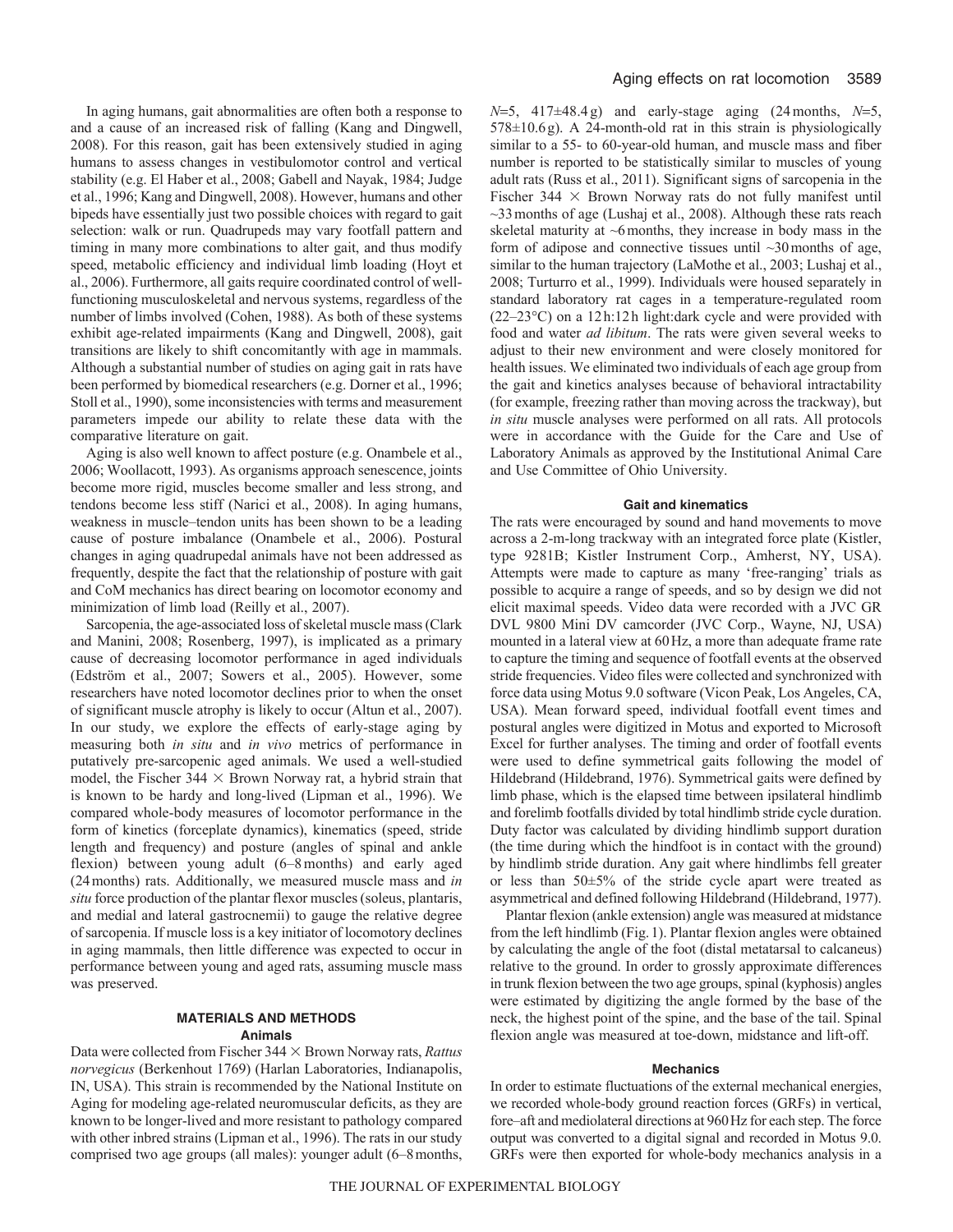In aging humans, gait abnormalities are often both a response to and a cause of an increased risk of falling (Kang and Dingwell, 2008). For this reason, gait has been extensively studied in aging humans to assess changes in vestibulomotor control and vertical stability (e.g. El Haber et al., 2008; Gabell and Nayak, 1984; Judge et al., 1996; Kang and Dingwell, 2008). However, humans and other bipeds have essentially just two possible choices with regard to gait selection: walk or run. Quadrupeds may vary footfall pattern and timing in many more combinations to alter gait, and thus modify speed, metabolic efficiency and individual limb loading (Hoyt et al., 2006). Furthermore, all gaits require coordinated control of wellfunctioning musculoskeletal and nervous systems, regardless of the number of limbs involved (Cohen, 1988). As both of these systems exhibit age-related impairments (Kang and Dingwell, 2008), gait transitions are likely to shift concomitantly with age in mammals. Although a substantial number of studies on aging gait in rats have been performed by biomedical researchers (e.g. Dorner et al., 1996; Stoll et al., 1990), some inconsistencies with terms and measurement parameters impede our ability to relate these data with the comparative literature on gait.

Aging is also well known to affect posture (e.g. Onambele et al., 2006; Woollacott, 1993). As organisms approach senescence, joints become more rigid, muscles become smaller and less strong, and tendons become less stiff (Narici et al., 2008). In aging humans, weakness in muscle–tendon units has been shown to be a leading cause of posture imbalance (Onambele et al., 2006). Postural changes in aging quadrupedal animals have not been addressed as frequently, despite the fact that the relationship of posture with gait and CoM mechanics has direct bearing on locomotor economy and minimization of limb load (Reilly et al., 2007).

Sarcopenia, the age-associated loss of skeletal muscle mass (Clark and Manini, 2008; Rosenberg, 1997), is implicated as a primary cause of decreasing locomotor performance in aged individuals (Edström et al., 2007; Sowers et al., 2005). However, some researchers have noted locomotor declines prior to when the onset of significant muscle atrophy is likely to occur (Altun et al., 2007). In our study, we explore the effects of early-stage aging by measuring both *in situ* and *in vivo* metrics of performance in putatively pre-sarcopenic aged animals. We used a well-studied model, the Fischer  $344 \times$  Brown Norway rat, a hybrid strain that is known to be hardy and long-lived (Lipman et al., 1996). We compared whole-body measures of locomotor performance in the form of kinetics (forceplate dynamics), kinematics (speed, stride length and frequency) and posture (angles of spinal and ankle flexion) between young adult (6–8months) and early aged (24months) rats. Additionally, we measured muscle mass and *in situ* force production of the plantar flexor muscles (soleus, plantaris, and medial and lateral gastrocnemii) to gauge the relative degree of sarcopenia. If muscle loss is a key initiator of locomotory declines in aging mammals, then little difference was expected to occur in performance between young and aged rats, assuming muscle mass was preserved.

## **MATERIALS AND METHODS Animals**

Data were collected from Fischer 344  $\times$  Brown Norway rats, *Rattus norvegicus* (Berkenhout 1769) (Harlan Laboratories, Indianapolis, IN, USA). This strain is recommended by the National Institute on Aging for modeling age-related neuromuscular deficits, as they are known to be longer-lived and more resistant to pathology compared with other inbred strains (Lipman et al., 1996). The rats in our study comprised two age groups (all males): younger adult (6–8months,  $N=5$ ,  $417\pm48.4$  g) and early-stage aging (24 months,  $N=5$ , 578±10.6g). A 24-month-old rat in this strain is physiologically similar to a 55- to 60-year-old human, and muscle mass and fiber number is reported to be statistically similar to muscles of young adult rats (Russ et al., 2011). Significant signs of sarcopenia in the Fischer  $344 \times$  Brown Norway rats do not fully manifest until ~33months of age (Lushaj et al., 2008). Although these rats reach skeletal maturity at  $\sim$ 6 months, they increase in body mass in the form of adipose and connective tissues until ~30 months of age, similar to the human trajectory (LaMothe et al., 2003; Lushaj et al., 2008; Turturro et al., 1999). Individuals were housed separately in standard laboratory rat cages in a temperature-regulated room (22–23°C) on a 12h:12h light:dark cycle and were provided with food and water *ad libitum*. The rats were given several weeks to adjust to their new environment and were closely monitored for health issues. We eliminated two individuals of each age group from the gait and kinetics analyses because of behavioral intractability (for example, freezing rather than moving across the trackway), but *in situ* muscle analyses were performed on all rats. All protocols were in accordance with the Guide for the Care and Use of Laboratory Animals as approved by the Institutional Animal Care and Use Committee of Ohio University.

## **Gait and kinematics**

The rats were encouraged by sound and hand movements to move across a 2-m-long trackway with an integrated force plate (Kistler, type 9281B; Kistler Instrument Corp., Amherst, NY, USA). Attempts were made to capture as many 'free-ranging' trials as possible to acquire a range of speeds, and so by design we did not elicit maximal speeds. Video data were recorded with a JVC GR DVL 9800 Mini DV camcorder (JVC Corp., Wayne, NJ, USA) mounted in a lateral view at 60Hz, a more than adequate frame rate to capture the timing and sequence of footfall events at the observed stride frequencies. Video files were collected and synchronized with force data using Motus 9.0 software (Vicon Peak, Los Angeles, CA, USA). Mean forward speed, individual footfall event times and postural angles were digitized in Motus and exported to Microsoft Excel for further analyses. The timing and order of footfall events were used to define symmetrical gaits following the model of Hildebrand (Hildebrand, 1976). Symmetrical gaits were defined by limb phase, which is the elapsed time between ipsilateral hindlimb and forelimb footfalls divided by total hindlimb stride cycle duration. Duty factor was calculated by dividing hindlimb support duration (the time during which the hindfoot is in contact with the ground) by hindlimb stride duration. Any gait where hindlimbs fell greater or less than 50±5% of the stride cycle apart were treated as asymmetrical and defined following Hildebrand (Hildebrand, 1977).

Plantar flexion (ankle extension) angle was measured at midstance from the left hindlimb (Fig.1). Plantar flexion angles were obtained by calculating the angle of the foot (distal metatarsal to calcaneus) relative to the ground. In order to grossly approximate differences in trunk flexion between the two age groups, spinal (kyphosis) angles were estimated by digitizing the angle formed by the base of the neck, the highest point of the spine, and the base of the tail. Spinal flexion angle was measured at toe-down, midstance and lift-off.

#### **Mechanics**

In order to estimate fluctuations of the external mechanical energies, we recorded whole-body ground reaction forces (GRFs) in vertical, fore–aft and mediolateral directions at 960Hz for each step. The force output was converted to a digital signal and recorded in Motus 9.0. GRFs were then exported for whole-body mechanics analysis in a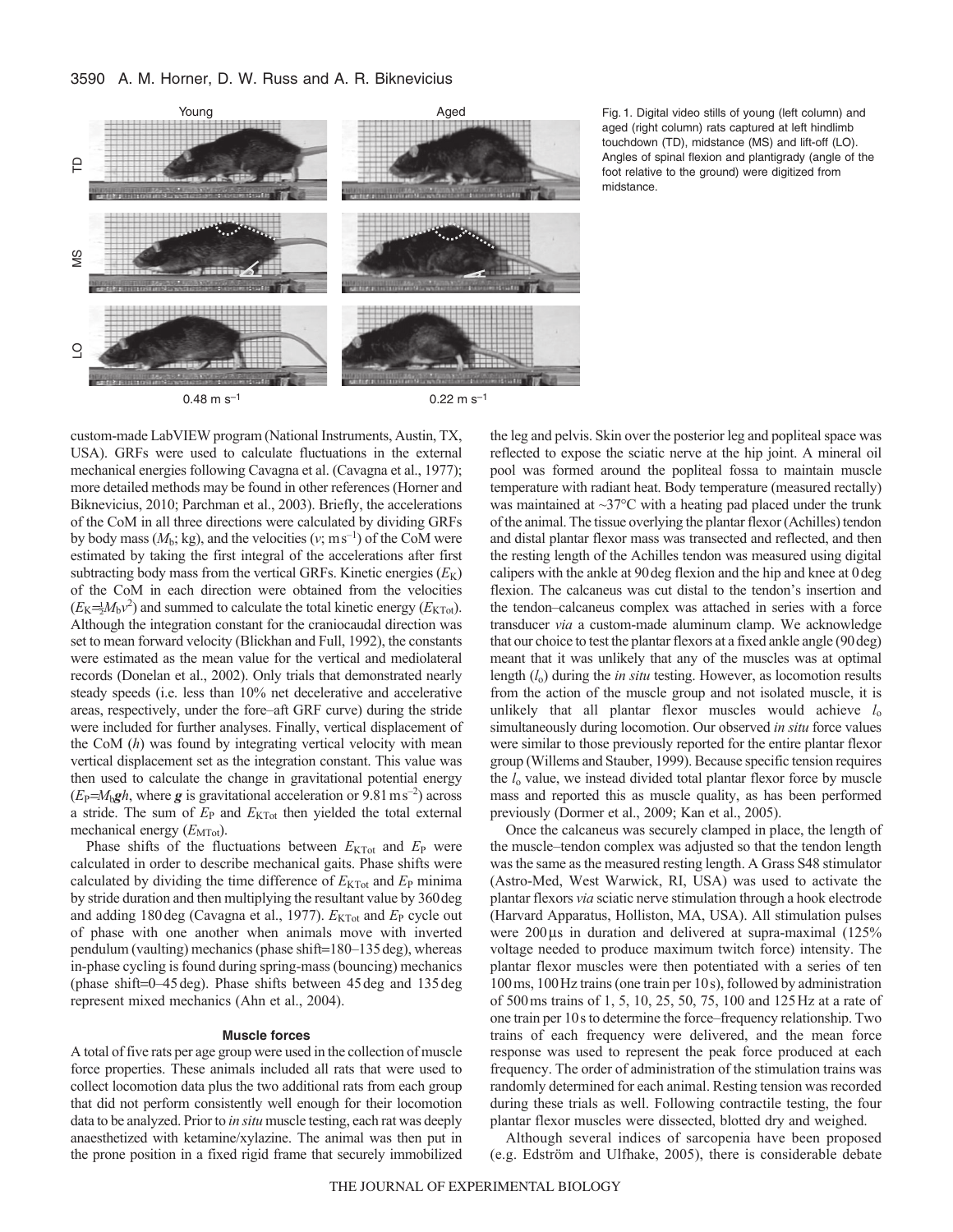

Fig. 1. Digital video stills of young (left column) and aged (right column) rats captured at left hindlimb touchdown (TD), midstance (MS) and lift-off (LO). Angles of spinal flexion and plantigrady (angle of the foot relative to the ground) were digitized from midstance.

custom-made LabVIEW program (National Instruments, Austin, TX, USA). GRFs were used to calculate fluctuations in the external mechanical energies following Cavagna et al. (Cavagna et al., 1977); more detailed methods may be found in other references (Horner and Biknevicius, 2010; Parchman et al., 2003). Briefly, the accelerations of the CoM in all three directions were calculated by dividing GRFs by body mass  $(M_b; \text{kg})$ , and the velocities  $(v; \text{m s}^{-1})$  of the CoM were estimated by taking the first integral of the accelerations after first subtracting body mass from the vertical GRFs. Kinetic energies  $(E_K)$ of the CoM in each direction were obtained from the velocities  $(E_K = \frac{1}{2}M_b v^2)$  and summed to calculate the total kinetic energy  $(E_{KTot})$ . Although the integration constant for the craniocaudal direction was set to mean forward velocity (Blickhan and Full, 1992), the constants were estimated as the mean value for the vertical and mediolateral records (Donelan et al., 2002). Only trials that demonstrated nearly steady speeds (i.e. less than 10% net decelerative and accelerative areas, respectively, under the fore–aft GRF curve) during the stride were included for further analyses. Finally, vertical displacement of the CoM (*h*) was found by integrating vertical velocity with mean vertical displacement set as the integration constant. This value was then used to calculate the change in gravitational potential energy  $(E_P = M_bgh$ , where g is gravitational acceleration or 9.81 m s<sup>-2</sup>) across a stride. The sum of  $E_P$  and  $E_{KTot}$  then yielded the total external mechanical energy ( $E_{\text{MTot}}$ ).

Phase shifts of the fluctuations between  $E_{KTot}$  and  $E_P$  were calculated in order to describe mechanical gaits. Phase shifts were calculated by dividing the time difference of  $E_{\text{KTot}}$  and  $E_{\text{P}}$  minima by stride duration and then multiplying the resultant value by 360deg and adding 180 deg (Cavagna et al., 1977).  $E_{\text{KTot}}$  and  $E_{\text{P}}$  cycle out of phase with one another when animals move with inverted pendulum (vaulting) mechanics (phase shift=180–135 deg), whereas in-phase cycling is found during spring-mass (bouncing) mechanics (phase shift=0 $-45$  deg). Phase shifts between  $45$  deg and  $135$  deg represent mixed mechanics (Ahn et al., 2004).

### **Muscle forces**

A total of five rats per age group were used in the collection of muscle force properties. These animals included all rats that were used to collect locomotion data plus the two additional rats from each group that did not perform consistently well enough for their locomotion data to be analyzed. Prior to *in situ* muscle testing, each rat was deeply anaesthetized with ketamine/xylazine. The animal was then put in the prone position in a fixed rigid frame that securely immobilized the leg and pelvis. Skin over the posterior leg and popliteal space was reflected to expose the sciatic nerve at the hip joint. A mineral oil pool was formed around the popliteal fossa to maintain muscle temperature with radiant heat. Body temperature (measured rectally) was maintained at  $\sim$ 37 $\degree$ C with a heating pad placed under the trunk of the animal. The tissue overlying the plantar flexor (Achilles) tendon and distal plantar flexor mass was transected and reflected, and then the resting length of the Achilles tendon was measured using digital calipers with the ankle at 90deg flexion and the hip and knee at 0deg flexion. The calcaneus was cut distal to the tendon's insertion and the tendon–calcaneus complex was attached in series with a force transducer *via* a custom-made aluminum clamp. We acknowledge that our choice to test the plantar flexors at a fixed ankle angle (90deg) meant that it was unlikely that any of the muscles was at optimal length (*l*o) during the *in situ* testing. However, as locomotion results from the action of the muscle group and not isolated muscle, it is unlikely that all plantar flexor muscles would achieve  $l_0$ simultaneously during locomotion. Our observed *in situ* force values were similar to those previously reported for the entire plantar flexor group (Willems and Stauber, 1999). Because specific tension requires the *l*<sup>o</sup> value, we instead divided total plantar flexor force by muscle mass and reported this as muscle quality, as has been performed previously (Dormer et al., 2009; Kan et al., 2005).

Once the calcaneus was securely clamped in place, the length of the muscle–tendon complex was adjusted so that the tendon length was the same as the measured resting length. A Grass S48 stimulator (Astro-Med, West Warwick, RI, USA) was used to activate the plantar flexors *via* sciatic nerve stimulation through a hook electrode (Harvard Apparatus, Holliston, MA, USA). All stimulation pulses were  $200\,\mu s$  in duration and delivered at supra-maximal (125%) voltage needed to produce maximum twitch force) intensity. The plantar flexor muscles were then potentiated with a series of ten 100ms, 100Hz trains (one train per 10s), followed by administration of 500ms trains of 1, 5, 10, 25, 50, 75, 100 and 125Hz at a rate of one train per 10s to determine the force–frequency relationship. Two trains of each frequency were delivered, and the mean force response was used to represent the peak force produced at each frequency. The order of administration of the stimulation trains was randomly determined for each animal. Resting tension was recorded during these trials as well. Following contractile testing, the four plantar flexor muscles were dissected, blotted dry and weighed.

Although several indices of sarcopenia have been proposed (e.g. Edström and Ulfhake, 2005), there is considerable debate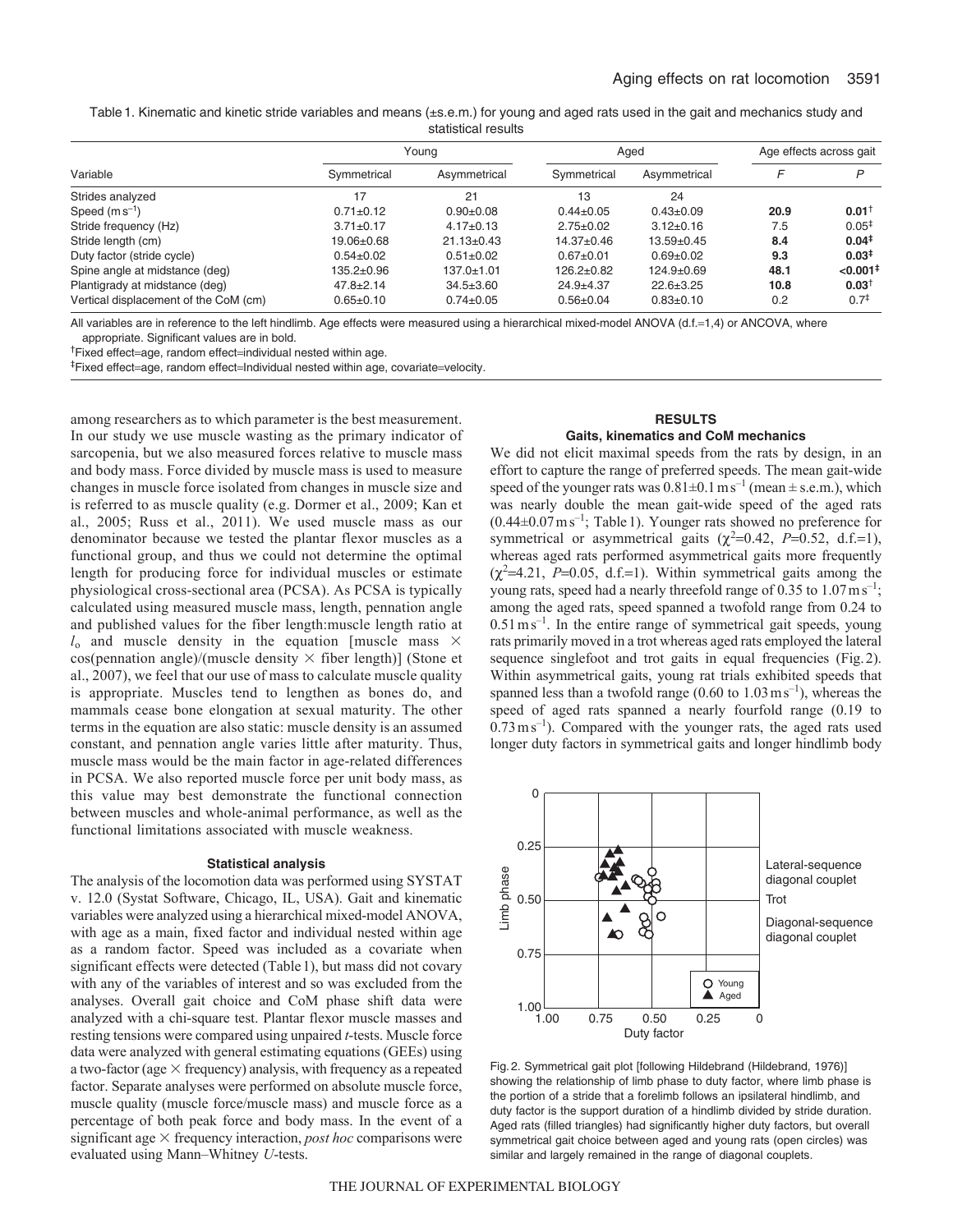Table1. Kinematic and kinetic stride variables and means (±s.e.m.) for young and aged rats used in the gait and mechanics study and statistical results

| Variable                              | Youna           |                  | Aged             |                  | Age effects across gait |                        |
|---------------------------------------|-----------------|------------------|------------------|------------------|-------------------------|------------------------|
|                                       | Symmetrical     | Asymmetrical     | Symmetrical      | Asymmetrical     |                         | P                      |
| Strides analyzed                      | 17              | 21               | 13               | 24               |                         |                        |
| Speed $(m s^{-1})$                    | $0.71 \pm 0.12$ | $0.90 + 0.08$    | $0.44 \pm 0.05$  | $0.43 \pm 0.09$  | 20.9                    | $0.01^+$               |
| Stride frequency (Hz)                 | $3.71 \pm 0.17$ | $4.17 \pm 0.13$  | $2.75 \pm 0.02$  | $3.12 \pm 0.16$  | 7.5                     | $0.05^{\ddagger}$      |
| Stride length (cm)                    | 19.06±0.68      | $21.13 \pm 0.43$ | 14.37±0.46       | $13.59 \pm 0.45$ | 8.4                     | 0.04 <sup>‡</sup>      |
| Duty factor (stride cycle)            | $0.54 \pm 0.02$ | $0.51 \pm 0.02$  | $0.67 + 0.01$    | $0.69 + 0.02$    | 9.3                     | 0.03 <sup>‡</sup>      |
| Spine angle at midstance (deg)        | 135.2±0.96      | $137.0 \pm 1.01$ | $126.2 \pm 0.82$ | $124.9 \pm 0.69$ | 48.1                    | $< 0.001$ <sup>#</sup> |
| Plantigrady at midstance (deg)        | $47.8 \pm 2.14$ | $34.5 \pm 3.60$  | $24.9 + 4.37$    | $22.6 + 3.25$    | 10.8                    | $0.03^{\dagger}$       |
| Vertical displacement of the CoM (cm) | $0.65 + 0.10$   | $0.74 \pm 0.05$  | $0.56 + 0.04$    | $0.83 + 0.10$    | 0.2                     | $0.7^{\ddagger}$       |

All variables are in reference to the left hindlimb. Age effects were measured using a hierarchical mixed-model ANOVA (d.f.=1,4) or ANCOVA, where appropriate. Significant values are in bold.

<sup>†</sup>Fixed effect=age, random effect=individual nested within age.

<sup>‡</sup>Fixed effect=age, random effect=Individual nested within age, covariate=velocity.

among researchers as to which parameter is the best measurement. In our study we use muscle wasting as the primary indicator of sarcopenia, but we also measured forces relative to muscle mass and body mass. Force divided by muscle mass is used to measure changes in muscle force isolated from changes in muscle size and is referred to as muscle quality (e.g. Dormer et al., 2009; Kan et al., 2005; Russ et al., 2011). We used muscle mass as our denominator because we tested the plantar flexor muscles as a functional group, and thus we could not determine the optimal length for producing force for individual muscles or estimate physiological cross-sectional area (PCSA). As PCSA is typically calculated using measured muscle mass, length, pennation angle and published values for the fiber length:muscle length ratio at  $l_0$  and muscle density in the equation [muscle mass  $\times$  $cos(p$ ennation angle)/(muscle density  $\times$  fiber length)] (Stone et al., 2007), we feel that our use of mass to calculate muscle quality is appropriate. Muscles tend to lengthen as bones do, and mammals cease bone elongation at sexual maturity. The other terms in the equation are also static: muscle density is an assumed constant, and pennation angle varies little after maturity. Thus, muscle mass would be the main factor in age-related differences in PCSA. We also reported muscle force per unit body mass, as this value may best demonstrate the functional connection between muscles and whole-animal performance, as well as the functional limitations associated with muscle weakness.

#### **Statistical analysis**

The analysis of the locomotion data was performed using SYSTAT v. 12.0 (Systat Software, Chicago, IL, USA). Gait and kinematic variables were analyzed using a hierarchical mixed-model ANOVA, with age as a main, fixed factor and individual nested within age as a random factor. Speed was included as a covariate when significant effects were detected (Table1), but mass did not covary with any of the variables of interest and so was excluded from the analyses. Overall gait choice and CoM phase shift data were analyzed with a chi-square test. Plantar flexor muscle masses and resting tensions were compared using unpaired *t*-tests. Muscle force data were analyzed with general estimating equations (GEEs) using a two-factor (age  $\times$  frequency) analysis, with frequency as a repeated factor. Separate analyses were performed on absolute muscle force, muscle quality (muscle force/muscle mass) and muscle force as a percentage of both peak force and body mass. In the event of a significant age  $\times$  frequency interaction, *post hoc* comparisons were evaluated using Mann–Whitney *U*-tests.

## **RESULTS Gaits, kinematics and CoM mechanics**

We did not elicit maximal speeds from the rats by design, in an effort to capture the range of preferred speeds. The mean gait-wide speed of the younger rats was  $0.81 \pm 0.1$  ms<sup>-1</sup> (mean  $\pm$  s.e.m.), which was nearly double the mean gait-wide speed of the aged rats  $(0.44\pm0.07 \,\mathrm{m\,s^{-1}};$  Table 1). Younger rats showed no preference for symmetrical or asymmetrical gaits  $(\chi^2=0.42, P=0.52, d.f.=1)$ , whereas aged rats performed asymmetrical gaits more frequently  $(\chi^2=4.21, P=0.05, d.f.=1)$ . Within symmetrical gaits among the young rats, speed had a nearly threefold range of 0.35 to 1.07 ms<sup>-1</sup>; among the aged rats, speed spanned a twofold range from 0.24 to  $0.51 \text{ m s}^{-1}$ . In the entire range of symmetrical gait speeds, young rats primarily moved in a trot whereas aged rats employed the lateral sequence singlefoot and trot gaits in equal frequencies (Fig.2). Within asymmetrical gaits, young rat trials exhibited speeds that spanned less than a twofold range  $(0.60 \text{ to } 1.03 \text{ m s}^{-1})$ , whereas the speed of aged rats spanned a nearly fourfold range (0.19 to  $(0.73 \text{ m s}^{-1})$ . Compared with the younger rats, the aged rats used longer duty factors in symmetrical gaits and longer hindlimb body



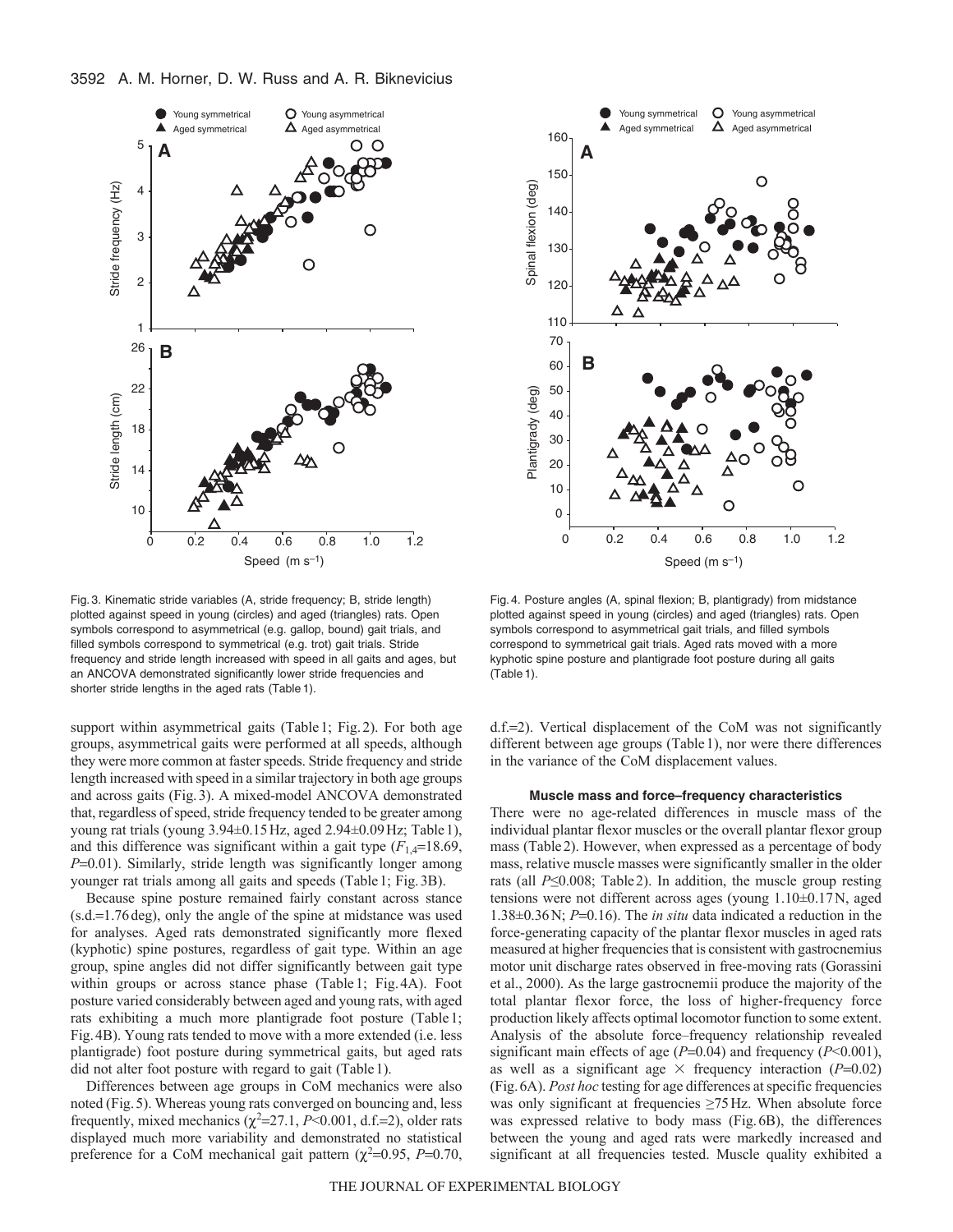

Fig. 3. Kinematic stride variables (A, stride frequency; B, stride length) plotted against speed in young (circles) and aged (triangles) rats. Open symbols correspond to asymmetrical (e.g. gallop, bound) gait trials, and filled symbols correspond to symmetrical (e.g. trot) gait trials. Stride frequency and stride length increased with speed in all gaits and ages, but an ANCOVA demonstrated significantly lower stride frequencies and shorter stride lengths in the aged rats (Table 1).

support within asymmetrical gaits (Table 1; Fig. 2). For both age groups, asymmetrical gaits were performed at all speeds, although they were more common at faster speeds. Stride frequency and stride length increased with speed in a similar trajectory in both age groups and across gaits (Fig.3). A mixed-model ANCOVA demonstrated that, regardless of speed, stride frequency tended to be greater among young rat trials (young 3.94±0.15Hz, aged 2.94±0.09Hz; Table1), and this difference was significant within a gait type  $(F_{1,4}=18.69)$ , *P*=0.01). Similarly, stride length was significantly longer among younger rat trials among all gaits and speeds (Table1; Fig.3B).

Because spine posture remained fairly constant across stance  $(s.d.=1.76$  deg), only the angle of the spine at midstance was used for analyses. Aged rats demonstrated significantly more flexed (kyphotic) spine postures, regardless of gait type. Within an age group, spine angles did not differ significantly between gait type within groups or across stance phase (Table1; Fig.4A). Foot posture varied considerably between aged and young rats, with aged rats exhibiting a much more plantigrade foot posture (Table1; Fig.4B). Young rats tended to move with a more extended (i.e. less plantigrade) foot posture during symmetrical gaits, but aged rats did not alter foot posture with regard to gait (Table1).

Differences between age groups in CoM mechanics were also noted (Fig.5). Whereas young rats converged on bouncing and, less frequently, mixed mechanics  $(\chi^2=27.1, P<0.001, d.f.=2)$ , older rats displayed much more variability and demonstrated no statistical preference for a CoM mechanical gait pattern  $(\chi^2=0.95, P=0.70,$ 



Fig. 4. Posture angles (A, spinal flexion; B, plantigrady) from midstance plotted against speed in young (circles) and aged (triangles) rats. Open symbols correspond to asymmetrical gait trials, and filled symbols correspond to symmetrical gait trials. Aged rats moved with a more kyphotic spine posture and plantigrade foot posture during all gaits (Table 1).

d.f.2). Vertical displacement of the CoM was not significantly different between age groups (Table1), nor were there differences in the variance of the CoM displacement values.

#### **Muscle mass and force–frequency characteristics**

There were no age-related differences in muscle mass of the individual plantar flexor muscles or the overall plantar flexor group mass (Table2). However, when expressed as a percentage of body mass, relative muscle masses were significantly smaller in the older rats (all *P*≤0.008; Table2). In addition, the muscle group resting tensions were not different across ages (young 1.10±0.17N, aged  $1.38\pm0.36$  N;  $P=0.16$ ). The *in situ* data indicated a reduction in the force-generating capacity of the plantar flexor muscles in aged rats measured at higher frequencies that is consistent with gastrocnemius motor unit discharge rates observed in free-moving rats (Gorassini et al., 2000). As the large gastrocnemii produce the majority of the total plantar flexor force, the loss of higher-frequency force production likely affects optimal locomotor function to some extent. Analysis of the absolute force–frequency relationship revealed significant main effects of age  $(P=0.04)$  and frequency  $(P<0.001)$ , as well as a significant age  $\times$  frequency interaction ( $P=0.02$ ) (Fig.6A). *Post hoc* testing for age differences at specific frequencies was only significant at frequencies ≥75Hz. When absolute force was expressed relative to body mass (Fig.6B), the differences between the young and aged rats were markedly increased and significant at all frequencies tested. Muscle quality exhibited a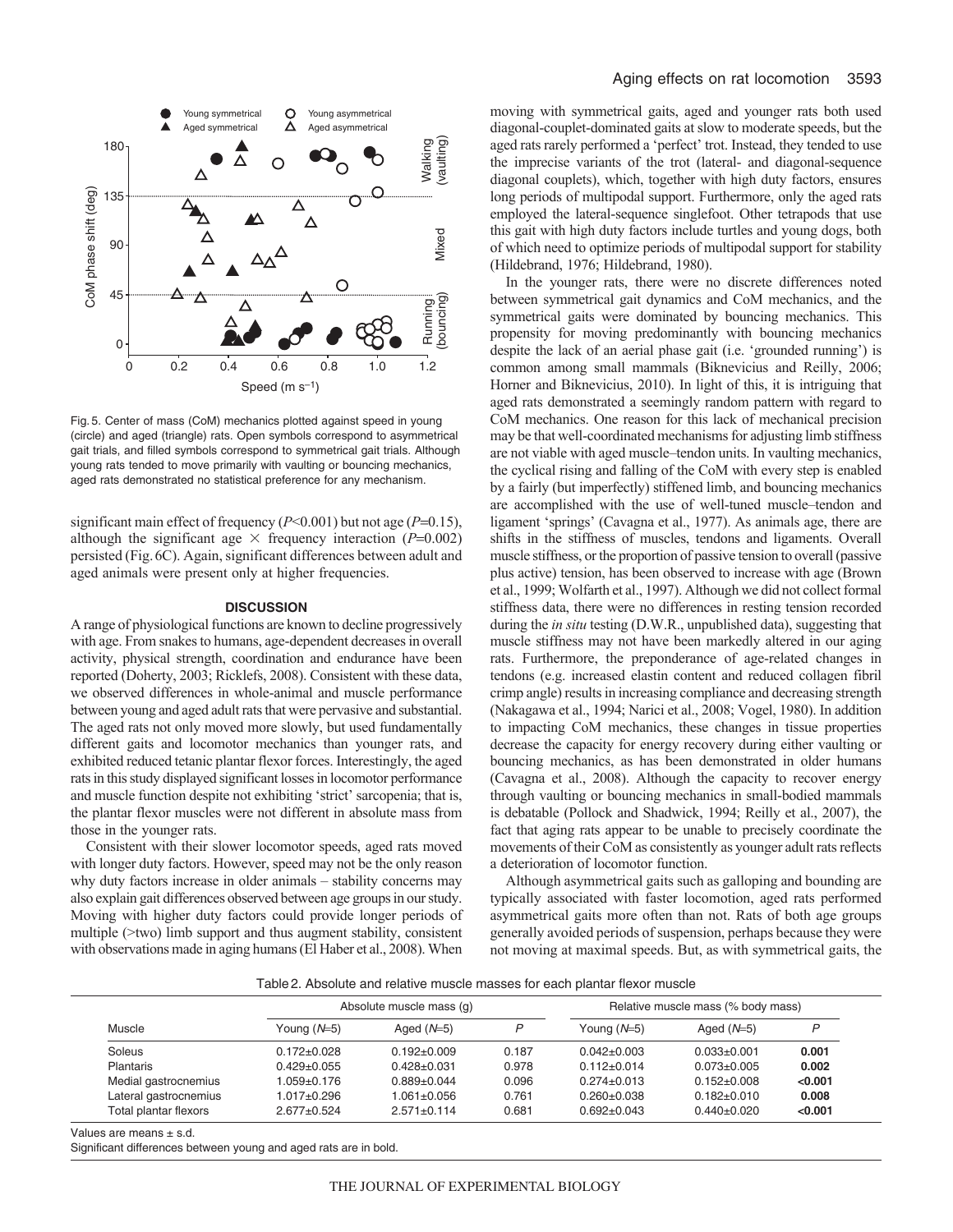

Fig. 5. Center of mass (CoM) mechanics plotted against speed in young (circle) and aged (triangle) rats. Open symbols correspond to asymmetrical gait trials, and filled symbols correspond to symmetrical gait trials. Although young rats tended to move primarily with vaulting or bouncing mechanics, aged rats demonstrated no statistical preference for any mechanism.

significant main effect of frequency  $(P<0.001)$  but not age  $(P=0.15)$ , although the significant age  $\times$  frequency interaction ( $P=0.002$ ) persisted (Fig.6C). Again, significant differences between adult and aged animals were present only at higher frequencies.

### **DISCUSSION**

A range of physiological functions are known to decline progressively with age. From snakes to humans, age-dependent decreases in overall activity, physical strength, coordination and endurance have been reported (Doherty, 2003; Ricklefs, 2008). Consistent with these data, we observed differences in whole-animal and muscle performance between young and aged adult rats that were pervasive and substantial. The aged rats not only moved more slowly, but used fundamentally different gaits and locomotor mechanics than younger rats, and exhibited reduced tetanic plantar flexor forces. Interestingly, the aged rats in this study displayed significant losses in locomotor performance and muscle function despite not exhibiting 'strict' sarcopenia; that is, the plantar flexor muscles were not different in absolute mass from those in the younger rats.

Consistent with their slower locomotor speeds, aged rats moved with longer duty factors. However, speed may not be the only reason why duty factors increase in older animals – stability concerns may also explain gait differences observed between age groups in our study. Moving with higher duty factors could provide longer periods of multiple (>two) limb support and thus augment stability, consistent with observations made in aging humans (El Haber et al., 2008). When moving with symmetrical gaits, aged and younger rats both used diagonal-couplet-dominated gaits at slow to moderate speeds, but the aged rats rarely performed a 'perfect' trot. Instead, they tended to use the imprecise variants of the trot (lateral- and diagonal-sequence diagonal couplets), which, together with high duty factors, ensures long periods of multipodal support. Furthermore, only the aged rats employed the lateral-sequence singlefoot. Other tetrapods that use this gait with high duty factors include turtles and young dogs, both of which need to optimize periods of multipodal support for stability (Hildebrand, 1976; Hildebrand, 1980).

In the younger rats, there were no discrete differences noted between symmetrical gait dynamics and CoM mechanics, and the symmetrical gaits were dominated by bouncing mechanics. This propensity for moving predominantly with bouncing mechanics despite the lack of an aerial phase gait (i.e. 'grounded running') is common among small mammals (Biknevicius and Reilly, 2006; Horner and Biknevicius, 2010). In light of this, it is intriguing that aged rats demonstrated a seemingly random pattern with regard to CoM mechanics. One reason for this lack of mechanical precision may be that well-coordinated mechanisms for adjusting limb stiffness are not viable with aged muscle–tendon units. In vaulting mechanics, the cyclical rising and falling of the CoM with every step is enabled by a fairly (but imperfectly) stiffened limb, and bouncing mechanics are accomplished with the use of well-tuned muscle–tendon and ligament 'springs' (Cavagna et al., 1977). As animals age, there are shifts in the stiffness of muscles, tendons and ligaments. Overall muscle stiffness, or the proportion of passive tension to overall (passive plus active) tension, has been observed to increase with age (Brown et al., 1999; Wolfarth et al., 1997). Although we did not collect formal stiffness data, there were no differences in resting tension recorded during the *in situ* testing (D.W.R., unpublished data), suggesting that muscle stiffness may not have been markedly altered in our aging rats. Furthermore, the preponderance of age-related changes in tendons (e.g. increased elastin content and reduced collagen fibril crimp angle) results in increasing compliance and decreasing strength (Nakagawa et al., 1994; Narici et al., 2008; Vogel, 1980). In addition to impacting CoM mechanics, these changes in tissue properties decrease the capacity for energy recovery during either vaulting or bouncing mechanics, as has been demonstrated in older humans (Cavagna et al., 2008). Although the capacity to recover energy through vaulting or bouncing mechanics in small-bodied mammals is debatable (Pollock and Shadwick, 1994; Reilly et al., 2007), the fact that aging rats appear to be unable to precisely coordinate the movements of their CoM as consistently as younger adult rats reflects a deterioration of locomotor function.

Although asymmetrical gaits such as galloping and bounding are typically associated with faster locomotion, aged rats performed asymmetrical gaits more often than not. Rats of both age groups generally avoided periods of suspension, perhaps because they were not moving at maximal speeds. But, as with symmetrical gaits, the

Table2. Absolute and relative muscle masses for each plantar flexor muscle

| Muscle                | Absolute muscle mass (q) |                   |       | Relative muscle mass (% body mass) |                   |         |  |
|-----------------------|--------------------------|-------------------|-------|------------------------------------|-------------------|---------|--|
|                       | Young $(N=5)$            | Aged $(N=5)$      | ם     | Young $(N=5)$                      | Aged $(N=5)$      | D       |  |
| Soleus                | $0.172 \pm 0.028$        | $0.192 \pm 0.009$ | 0.187 | $0.042 \pm 0.003$                  | $0.033 + 0.001$   | 0.001   |  |
| <b>Plantaris</b>      | $0.429 \pm 0.055$        | $0.428 \pm 0.031$ | 0.978 | $0.112 \pm 0.014$                  | $0.073 \pm 0.005$ | 0.002   |  |
| Medial gastrocnemius  | 1.059±0.176              | $0.889+0.044$     | 0.096 | $0.274 \pm 0.013$                  | $0.152+0.008$     | < 0.001 |  |
| Lateral gastrocnemius | 1.017±0.296              | 1.061±0.056       | 0.761 | $0.260 + 0.038$                    | $0.182 + 0.010$   | 0.008   |  |
| Total plantar flexors | $2.677 \pm 0.524$        | $2.571 \pm 0.114$ | 0.681 | $0.692 + 0.043$                    | $0.440+0.020$     | < 0.001 |  |

Values are means  $\pm$  s.d.

Significant differences between young and aged rats are in bold.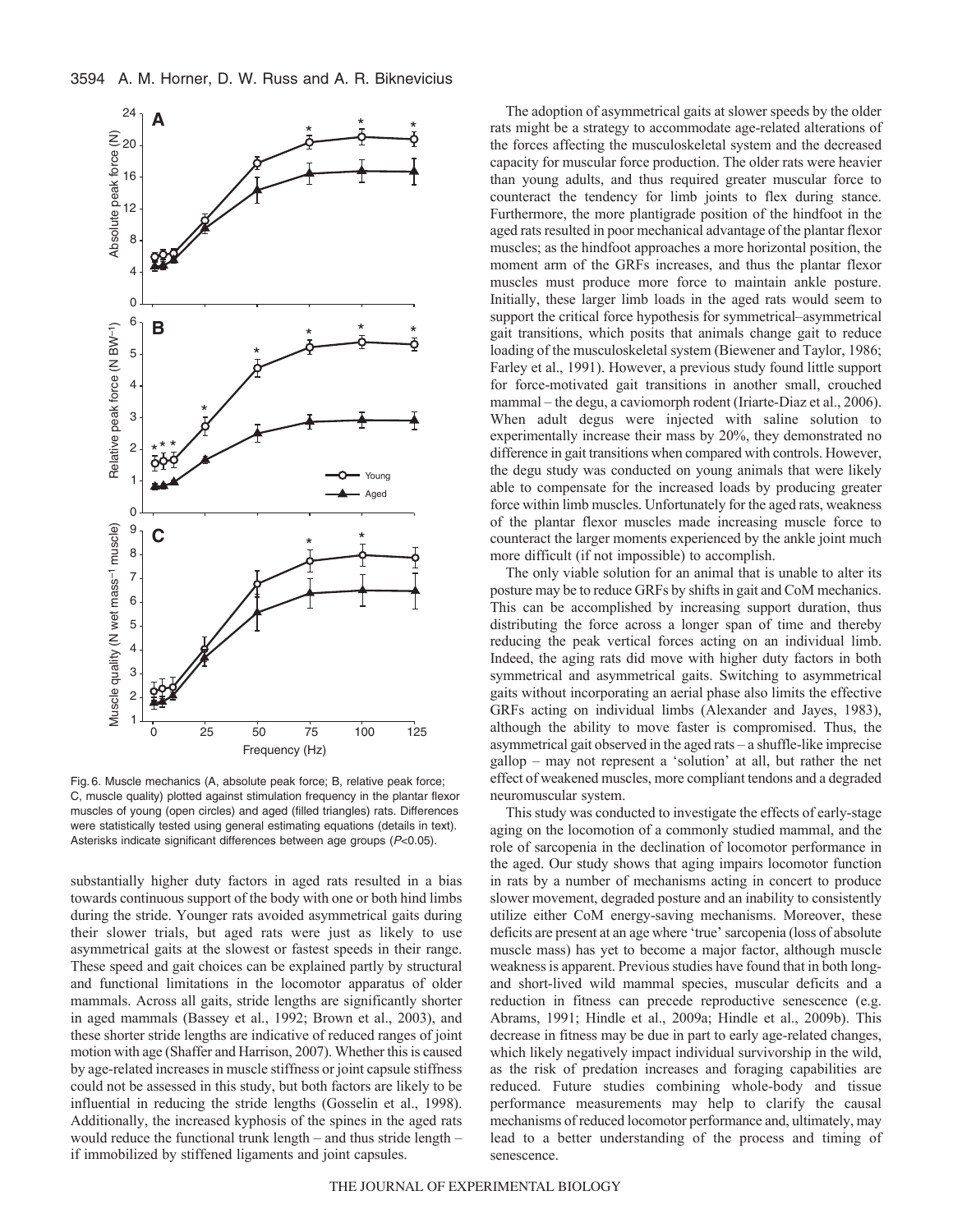

Fig. 6. Muscle mechanics (A, absolute peak force; B, relative peak force; C, muscle quality) plotted against stimulation frequency in the plantar flexor muscles of young (open circles) and aged (filled triangles) rats. Differences were statistically tested using general estimating equations (details in text). Asterisks indicate significant differences between age groups (P<0.05).

substantially higher duty factors in aged rats resulted in a bias towards continuous support of the body with one or both hind limbs during the stride. Younger rats avoided asymmetrical gaits during their slower trials, but aged rats were just as likely to use asymmetrical gaits at the slowest or fastest speeds in their range. These speed and gait choices can be explained partly by structural and functional limitations in the locomotor apparatus of older mammals. Across all gaits, stride lengths are significantly shorter in aged mammals (Bassey et al., 1992; Brown et al., 2003), and these shorter stride lengths are indicative of reduced ranges of joint motion with age (Shaffer and Harrison, 2007). Whether this is caused by age-related increases in muscle stiffness or joint capsule stiffness could not be assessed in this study, but both factors are likely to be influential in reducing the stride lengths (Gosselin et al., 1998). Additionally, the increased kyphosis of the spines in the aged rats would reduce the functional trunk length – and thus stride length – if immobilized by stiffened ligaments and joint capsules.

The adoption of asymmetrical gaits at slower speeds by the older rats might be a strategy to accommodate age-related alterations of the forces affecting the musculoskeletal system and the decreased capacity for muscular force production. The older rats were heavier than young adults, and thus required greater muscular force to counteract the tendency for limb joints to flex during stance. Furthermore, the more plantigrade position of the hindfoot in the aged rats resulted in poor mechanical advantage of the plantar flexor muscles; as the hindfoot approaches a more horizontal position, the moment arm of the GRFs increases, and thus the plantar flexor muscles must produce more force to maintain ankle posture. Initially, these larger limb loads in the aged rats would seem to support the critical force hypothesis for symmetrical–asymmetrical gait transitions, which posits that animals change gait to reduce loading of the musculoskeletal system (Biewener and Taylor, 1986; Farley et al., 1991). However, a previous study found little support for force-motivated gait transitions in another small, crouched mammal – the degu, a caviomorph rodent (Iriarte-Diaz et al., 2006). When adult degus were injected with saline solution to experimentally increase their mass by 20%, they demonstrated no difference in gait transitions when compared with controls. However, the degu study was conducted on young animals that were likely able to compensate for the increased loads by producing greater force within limb muscles. Unfortunately for the aged rats, weakness of the plantar flexor muscles made increasing muscle force to counteract the larger moments experienced by the ankle joint much more difficult (if not impossible) to accomplish.

The only viable solution for an animal that is unable to alter its posture may be to reduce GRFs by shifts in gait and CoM mechanics. This can be accomplished by increasing support duration, thus distributing the force across a longer span of time and thereby reducing the peak vertical forces acting on an individual limb. Indeed, the aging rats did move with higher duty factors in both symmetrical and asymmetrical gaits. Switching to asymmetrical gaits without incorporating an aerial phase also limits the effective GRFs acting on individual limbs (Alexander and Jayes, 1983), although the ability to move faster is compromised. Thus, the asymmetrical gait observed in the aged rats – a shuffle-like imprecise gallop – may not represent a 'solution' at all, but rather the net effect of weakened muscles, more compliant tendons and a degraded neuromuscular system.

This study was conducted to investigate the effects of early-stage aging on the locomotion of a commonly studied mammal, and the role of sarcopenia in the declination of locomotor performance in the aged. Our study shows that aging impairs locomotor function in rats by a number of mechanisms acting in concert to produce slower movement, degraded posture and an inability to consistently utilize either CoM energy-saving mechanisms. Moreover, these deficits are present at an age where 'true' sarcopenia (loss of absolute muscle mass) has yet to become a major factor, although muscle weakness is apparent. Previous studies have found that in both longand short-lived wild mammal species, muscular deficits and a reduction in fitness can precede reproductive senescence (e.g. Abrams, 1991; Hindle et al., 2009a; Hindle et al., 2009b). This decrease in fitness may be due in part to early age-related changes, which likely negatively impact individual survivorship in the wild, as the risk of predation increases and foraging capabilities are reduced. Future studies combining whole-body and tissue performance measurements may help to clarify the causal mechanisms of reduced locomotor performance and, ultimately, may lead to a better understanding of the process and timing of senescence.